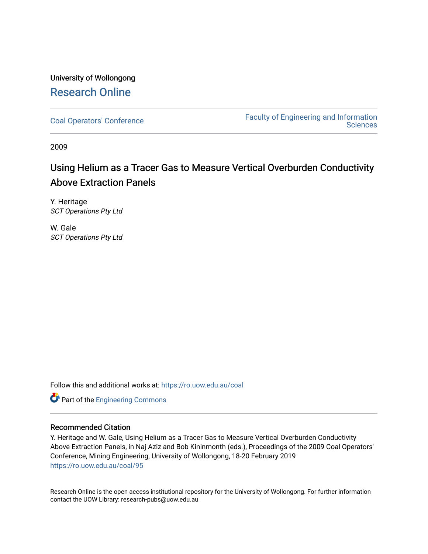## University of Wollongong [Research Online](https://ro.uow.edu.au/)

[Coal Operators' Conference](https://ro.uow.edu.au/coal) [Faculty of Engineering and Information](https://ro.uow.edu.au/eis)  **Sciences** 

2009

# Using Helium as a Tracer Gas to Measure Vertical Overburden Conductivity Above Extraction Panels

Y. Heritage SCT Operations Pty Ltd

W. Gale SCT Operations Pty Ltd

Follow this and additional works at: [https://ro.uow.edu.au/coal](https://ro.uow.edu.au/coal?utm_source=ro.uow.edu.au%2Fcoal%2F95&utm_medium=PDF&utm_campaign=PDFCoverPages) 

Part of the [Engineering Commons](http://network.bepress.com/hgg/discipline/217?utm_source=ro.uow.edu.au%2Fcoal%2F95&utm_medium=PDF&utm_campaign=PDFCoverPages)

#### Recommended Citation

Y. Heritage and W. Gale, Using Helium as a Tracer Gas to Measure Vertical Overburden Conductivity Above Extraction Panels, in Naj Aziz and Bob Kininmonth (eds.), Proceedings of the 2009 Coal Operators' Conference, Mining Engineering, University of Wollongong, 18-20 February 2019 [https://ro.uow.edu.au/coal/95](https://ro.uow.edu.au/coal/95?utm_source=ro.uow.edu.au%2Fcoal%2F95&utm_medium=PDF&utm_campaign=PDFCoverPages) 

Research Online is the open access institutional repository for the University of Wollongong. For further information contact the UOW Library: research-pubs@uow.edu.au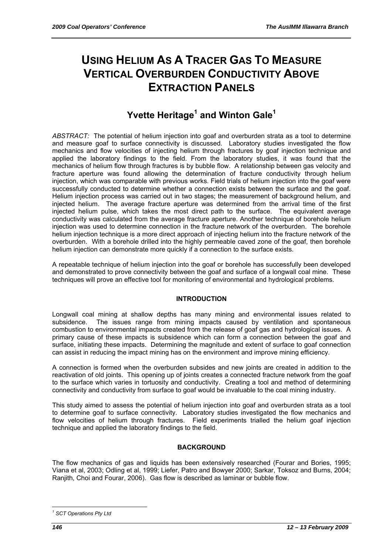# **USING HELIUM AS A TRACER GAS TO MEASURE VERTICAL OVERBURDEN CONDUCTIVITY ABOVE EXTRACTION PANELS**

# **Yvette Heritage1 and Winton Gale<sup>1</sup>**

*ABSTRACT:* The potential of helium injection into goaf and overburden strata as a tool to determine and measure goaf to surface connectivity is discussed. Laboratory studies investigated the flow mechanics and flow velocities of injecting helium through fractures by goaf injection technique and applied the laboratory findings to the field. From the laboratory studies, it was found that the mechanics of helium flow through fractures is by bubble flow. A relationship between gas velocity and fracture aperture was found allowing the determination of fracture conductivity through helium injection, which was comparable with previous works. Field trials of helium injection into the goaf were successfully conducted to determine whether a connection exists between the surface and the goaf. Helium injection process was carried out in two stages; the measurement of background helium, and injected helium. The average fracture aperture was determined from the arrival time of the first injected helium pulse, which takes the most direct path to the surface. The equivalent average conductivity was calculated from the average fracture aperture. Another technique of borehole helium injection was used to determine connection in the fracture network of the overburden. The borehole helium injection technique is a more direct approach of injecting helium into the fracture network of the overburden. With a borehole drilled into the highly permeable caved zone of the goaf, then borehole helium injection can demonstrate more quickly if a connection to the surface exists.

A repeatable technique of helium injection into the goaf or borehole has successfully been developed and demonstrated to prove connectivity between the goaf and surface of a longwall coal mine. These techniques will prove an effective tool for monitoring of environmental and hydrological problems.

## **INTRODUCTION**

Longwall coal mining at shallow depths has many mining and environmental issues related to subsidence. The issues range from mining impacts caused by ventilation and spontaneous combustion to environmental impacts created from the release of goaf gas and hydrological issues. A primary cause of these impacts is subsidence which can form a connection between the goaf and surface, initiating these impacts. Determining the magnitude and extent of surface to goaf connection can assist in reducing the impact mining has on the environment and improve mining efficiency.

A connection is formed when the overburden subsides and new joints are created in addition to the reactivation of old joints. This opening up of joints creates a connected fracture network from the goaf to the surface which varies in tortuosity and conductivity. Creating a tool and method of determining connectivity and conductivity from surface to goaf would be invaluable to the coal mining industry.

This study aimed to assess the potential of helium injection into goaf and overburden strata as a tool to determine goaf to surface connectivity. Laboratory studies investigated the flow mechanics and flow velocities of helium through fractures. Field experiments trialled the helium goaf injection technique and applied the laboratory findings to the field.

## **BACKGROUND**

The flow mechanics of gas and liquids has been extensively researched (Fourar and Bories, 1995; Viana et al, 2003; Odling et al, 1999; Liefer, Patro and Bowyer 2000; Sarkar, Toksoz and Burns, 2004; Ranjith, Choi and Fourar, 2006). Gas flow is described as laminar or bubble flow.

 $\overline{a}$ *1 SCT Operations Pty Ltd*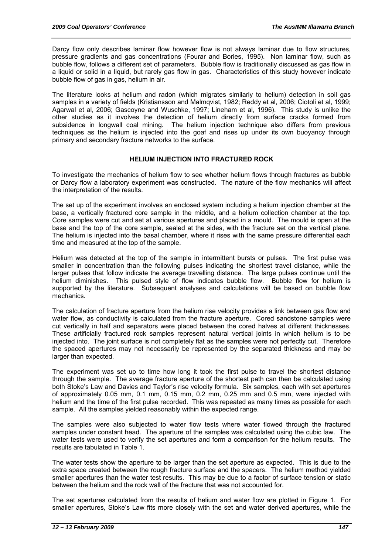Darcy flow only describes laminar flow however flow is not always laminar due to flow structures, pressure gradients and gas concentrations (Fourar and Bories, 1995). Non laminar flow, such as bubble flow, follows a different set of parameters. Bubble flow is traditionally discussed as gas flow in a liquid or solid in a liquid, but rarely gas flow in gas. Characteristics of this study however indicate bubble flow of gas in gas, helium in air.

The literature looks at helium and radon (which migrates similarly to helium) detection in soil gas samples in a variety of fields (Kristiansson and Malmqvist, 1982; Reddy et al, 2006; Ciotoli et al, 1999; Agarwal et al, 2006; Gascoyne and Wuschke, 1997; Lineham et al, 1996). This study is unlike the other studies as it involves the detection of helium directly from surface cracks formed from subsidence in longwall coal mining. The helium injection technique also differs from previous techniques as the helium is injected into the goaf and rises up under its own buoyancy through primary and secondary fracture networks to the surface.

#### **HELIUM INJECTION INTO FRACTURED ROCK**

To investigate the mechanics of helium flow to see whether helium flows through fractures as bubble or Darcy flow a laboratory experiment was constructed. The nature of the flow mechanics will affect the interpretation of the results.

The set up of the experiment involves an enclosed system including a helium injection chamber at the base, a vertically fractured core sample in the middle, and a helium collection chamber at the top. Core samples were cut and set at various apertures and placed in a mould. The mould is open at the base and the top of the core sample, sealed at the sides, with the fracture set on the vertical plane. The helium is injected into the basal chamber, where it rises with the same pressure differential each time and measured at the top of the sample.

Helium was detected at the top of the sample in intermittent bursts or pulses. The first pulse was smaller in concentration than the following pulses indicating the shortest travel distance, while the larger pulses that follow indicate the average travelling distance. The large pulses continue until the helium diminishes. This pulsed style of flow indicates bubble flow. Bubble flow for helium is supported by the literature. Subsequent analyses and calculations will be based on bubble flow mechanics.

The calculation of fracture aperture from the helium rise velocity provides a link between gas flow and water flow, as conductivity is calculated from the fracture aperture. Cored sandstone samples were cut vertically in half and separators were placed between the cored halves at different thicknesses. These artificially fractured rock samples represent natural vertical joints in which helium is to be injected into. The joint surface is not completely flat as the samples were not perfectly cut. Therefore the spaced apertures may not necessarily be represented by the separated thickness and may be larger than expected.

The experiment was set up to time how long it took the first pulse to travel the shortest distance through the sample. The average fracture aperture of the shortest path can then be calculated using both Stoke's Law and Davies and Taylor's rise velocity formula. Six samples, each with set apertures of approximately 0.05 mm, 0.1 mm, 0.15 mm, 0.2 mm, 0.25 mm and 0.5 mm, were injected with helium and the time of the first pulse recorded. This was repeated as many times as possible for each sample. All the samples yielded reasonably within the expected range.

The samples were also subjected to water flow tests where water flowed through the fractured samples under constant head. The aperture of the samples was calculated using the cubic law. The water tests were used to verify the set apertures and form a comparison for the helium results. The results are tabulated in Table 1.

The water tests show the aperture to be larger than the set aperture as expected. This is due to the extra space created between the rough fracture surface and the spacers. The helium method yielded smaller apertures than the water test results. This may be due to a factor of surface tension or static between the helium and the rock wall of the fracture that was not accounted for.

The set apertures calculated from the results of helium and water flow are plotted in Figure 1. For smaller apertures, Stoke's Law fits more closely with the set and water derived apertures, while the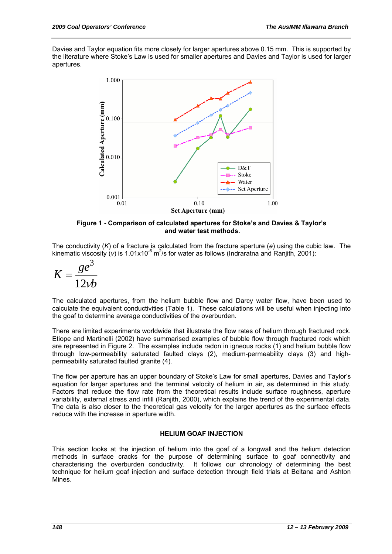Davies and Taylor equation fits more closely for larger apertures above 0.15 mm. This is supported by the literature where Stoke's Law is used for smaller apertures and Davies and Taylor is used for larger apertures.



**Figure 1 - Comparison of calculated apertures for Stoke's and Davies & Taylor's and water test methods.** 

The conductivity (*K*) of a fracture is calculated from the fracture aperture (*e*) using the cubic law. The kinematic viscosity (v) is 1.01x10<sup>-6</sup> m<sup>2</sup>/s for water as follows (Indraratna and Ranjith, 2001):

$$
K = \frac{ge^3}{12vb}
$$

The calculated apertures, from the helium bubble flow and Darcy water flow, have been used to calculate the equivalent conductivities (Table 1). These calculations will be useful when injecting into the goaf to determine average conductivities of the overburden.

There are limited experiments worldwide that illustrate the flow rates of helium through fractured rock. Etiope and Martinelli (2002) have summarised examples of bubble flow through fractured rock which are represented in Figure 2. The examples include radon in igneous rocks (1) and helium bubble flow through low-permeability saturated faulted clays (2), medium-permeability clays (3) and highpermeability saturated faulted granite (4).

The flow per aperture has an upper boundary of Stoke's Law for small apertures, Davies and Taylor's equation for larger apertures and the terminal velocity of helium in air, as determined in this study. Factors that reduce the flow rate from the theoretical results include surface roughness, aperture variability, external stress and infill (Ranjith, 2000), which explains the trend of the experimental data. The data is also closer to the theoretical gas velocity for the larger apertures as the surface effects reduce with the increase in aperture width.

#### **HELIUM GOAF INJECTION**

This section looks at the injection of helium into the goaf of a longwall and the helium detection methods in surface cracks for the purpose of determining surface to goaf connectivity and characterising the overburden conductivity. It follows our chronology of determining the best technique for helium goaf injection and surface detection through field trials at Beltana and Ashton Mines.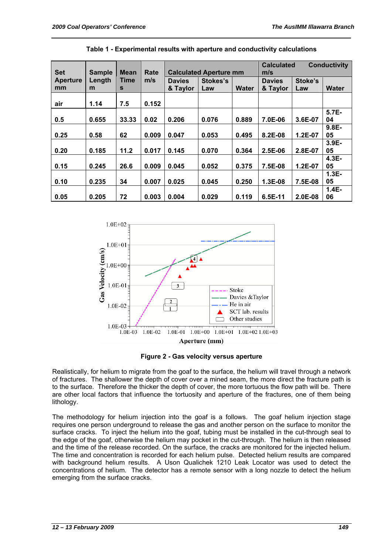|                 |               |             |       |                               |          |       | <b>Calculated</b> | <b>Conductivity</b> |              |
|-----------------|---------------|-------------|-------|-------------------------------|----------|-------|-------------------|---------------------|--------------|
| <b>Set</b>      | <b>Sample</b> | <b>Mean</b> | Rate  | <b>Calculated Aperture mm</b> |          |       | m/s               |                     |              |
| <b>Aperture</b> | Length        | <b>Time</b> | m/s   | <b>Davies</b>                 | Stokes's |       | <b>Davies</b>     | Stoke's             |              |
| mm              | m             | S           |       | & Taylor                      | Law      | Water | & Taylor          | Law                 | <b>Water</b> |
|                 |               |             |       |                               |          |       |                   |                     |              |
| air             | 1.14          | 7.5         | 0.152 |                               |          |       |                   |                     |              |
|                 |               |             |       |                               |          |       |                   |                     | 5.7E-        |
| 0.5             | 0.655         | 33.33       | 0.02  | 0.206                         | 0.076    | 0.889 | 7.0E-06           | 3.6E-07             | 04           |
|                 |               |             |       |                               |          |       |                   |                     | 9.8E-        |
| 0.25            | 0.58          | 62          | 0.009 | 0.047                         | 0.053    | 0.495 | 8.2E-08           | 1.2E-07             | 05           |
|                 |               |             |       |                               |          |       |                   |                     | $3.9E -$     |
| 0.20            | 0.185         | 11.2        | 0.017 | 0.145                         | 0.070    | 0.364 | $2.5E-06$         | 2.8E-07             | 05           |
|                 |               |             |       |                               |          |       |                   |                     | 4.3E-        |
| 0.15            | 0.245         | 26.6        | 0.009 | 0.045                         | 0.052    | 0.375 | 7.5E-08           | 1.2E-07             | 05           |
|                 |               |             |       |                               |          |       |                   |                     | $1.3E-$      |
| 0.10            | 0.235         | 34          | 0.007 | 0.025                         | 0.045    | 0.250 | $1.3E-08$         | 7.5E-08             | 05           |
|                 |               |             |       |                               |          |       |                   |                     | $1.4E-$      |
| 0.05            | 0.205         | 72          | 0.003 | 0.004                         | 0.029    | 0.119 | 6.5E-11           | $2.0E-08$           | 06           |

**Table 1 - Experimental results with aperture and conductivity calculations** 





Realistically, for helium to migrate from the goaf to the surface, the helium will travel through a network of fractures. The shallower the depth of cover over a mined seam, the more direct the fracture path is to the surface. Therefore the thicker the depth of cover, the more tortuous the flow path will be. There are other local factors that influence the tortuosity and aperture of the fractures, one of them being lithology.

The methodology for helium injection into the goaf is a follows. The goaf helium injection stage requires one person underground to release the gas and another person on the surface to monitor the surface cracks. To inject the helium into the goaf, tubing must be installed in the cut-through seal to the edge of the goaf, otherwise the helium may pocket in the cut-through. The helium is then released and the time of the release recorded. On the surface, the cracks are monitored for the injected helium. The time and concentration is recorded for each helium pulse. Detected helium results are compared with background helium results. A Uson Qualichek 1210 Leak Locator was used to detect the concentrations of helium. The detector has a remote sensor with a long nozzle to detect the helium emerging from the surface cracks.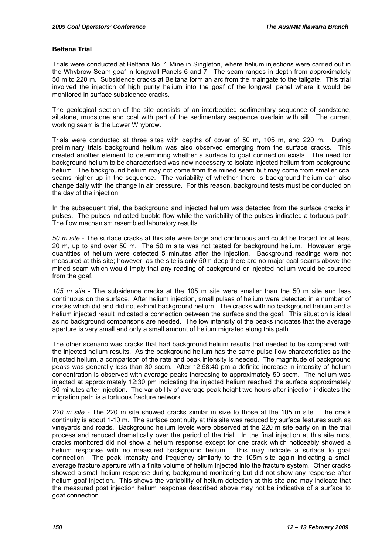#### **Beltana Trial**

Trials were conducted at Beltana No. 1 Mine in Singleton, where helium injections were carried out in the Whybrow Seam goaf in longwall Panels 6 and 7. The seam ranges in depth from approximately 50 m to 220 m. Subsidence cracks at Beltana form an arc from the maingate to the tailgate. This trial involved the injection of high purity helium into the goaf of the longwall panel where it would be monitored in surface subsidence cracks.

The geological section of the site consists of an interbedded sedimentary sequence of sandstone, siltstone, mudstone and coal with part of the sedimentary sequence overlain with sill. The current working seam is the Lower Whybrow.

Trials were conducted at three sites with depths of cover of 50 m, 105 m, and 220 m. During preliminary trials background helium was also observed emerging from the surface cracks. This created another element to determining whether a surface to goaf connection exists. The need for background helium to be characterised was now necessary to isolate injected helium from background helium. The background helium may not come from the mined seam but may come from smaller coal seams higher up in the sequence. The variability of whether there is background helium can also change daily with the change in air pressure. For this reason, background tests must be conducted on the day of the injection.

In the subsequent trial, the background and injected helium was detected from the surface cracks in pulses. The pulses indicated bubble flow while the variability of the pulses indicated a tortuous path. The flow mechanism resembled laboratory results.

*50 m site* - The surface cracks at this site were large and continuous and could be traced for at least 20 m, up to and over 50 m. The 50 m site was not tested for background helium. However large quantities of helium were detected 5 minutes after the injection. Background readings were not measured at this site; however, as the site is only 50m deep there are no major coal seams above the mined seam which would imply that any reading of background or injected helium would be sourced from the goaf.

*105 m site* - The subsidence cracks at the 105 m site were smaller than the 50 m site and less continuous on the surface. After helium injection, small pulses of helium were detected in a number of cracks which did and did not exhibit background helium. The cracks with no background helium and a helium injected result indicated a connection between the surface and the goaf. This situation is ideal as no background comparisons are needed. The low intensity of the peaks indicates that the average aperture is very small and only a small amount of helium migrated along this path.

The other scenario was cracks that had background helium results that needed to be compared with the injected helium results. As the background helium has the same pulse flow characteristics as the injected helium, a comparison of the rate and peak intensity is needed. The magnitude of background peaks was generally less than 30 sccm. After 12:58:40 pm a definite increase in intensity of helium concentration is observed with average peaks increasing to approximately 50 sccm. The helium was injected at approximately 12:30 pm indicating the injected helium reached the surface approximately 30 minutes after injection. The variability of average peak height two hours after injection indicates the migration path is a tortuous fracture network.

*220 m site* - The 220 m site showed cracks similar in size to those at the 105 m site. The crack continuity is about 1-10 m. The surface continuity at this site was reduced by surface features such as vineyards and roads. Background helium levels were observed at the 220 m site early on in the trial process and reduced dramatically over the period of the trial. In the final injection at this site most cracks monitored did not show a helium response except for one crack which noticeably showed a helium response with no measured background helium. This may indicate a surface to goaf connection. The peak intensity and frequency similarly to the 105m site again indicating a small average fracture aperture with a finite volume of helium injected into the fracture system. Other cracks showed a small helium response during background monitoring but did not show any response after helium goaf injection. This shows the variability of helium detection at this site and may indicate that the measured post injection helium response described above may not be indicative of a surface to goaf connection.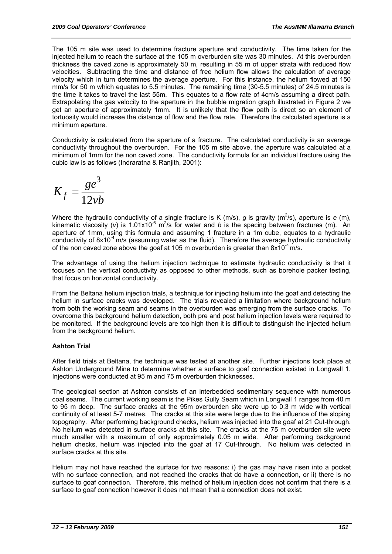The 105 m site was used to determine fracture aperture and conductivity. The time taken for the injected helium to reach the surface at the 105 m overburden site was 30 minutes. At this overburden thickness the caved zone is approximately 50 m, resulting in 55 m of upper strata with reduced flow velocities. Subtracting the time and distance of free helium flow allows the calculation of average velocity which in turn determines the average aperture. For this instance, the helium flowed at 150 mm/s for 50 m which equates to 5.5 minutes. The remaining time (30-5.5 minutes) of 24.5 minutes is the time it takes to travel the last 55m. This equates to a flow rate of 4cm/s assuming a direct path. Extrapolating the gas velocity to the aperture in the bubble migration graph illustrated in Figure 2 we get an aperture of approximately 1mm. It is unlikely that the flow path is direct so an element of tortuosity would increase the distance of flow and the flow rate. Therefore the calculated aperture is a minimum aperture.

Conductivity is calculated from the aperture of a fracture. The calculated conductivity is an average conductivity throughout the overburden. For the 105 m site above, the aperture was calculated at a minimum of 1mm for the non caved zone. The conductivity formula for an individual fracture using the cubic law is as follows (Indraratna & Ranjith, 2001):

$$
K_f = \frac{ge^3}{12vb}
$$

Where the hydraulic conductivity of a single fracture is K (m/s), g is gravity (m<sup>2</sup>/s), aperture is  $e$  (m), kinematic viscosity (v) is 1.01x10<sup>-6</sup> m<sup>2</sup>/s for water and *b* is the spacing between fractures (m). An aperture of 1mm, using this formula and assuming 1 fracture in a 1m cube, equates to a hydraulic conductivity of  $8x10^{-4}$  m/s (assuming water as the fluid). Therefore the average hydraulic conductivity of the non caved zone above the goaf at 105 m overburden is greater than  $8x10^{-4}$  m/s.

The advantage of using the helium injection technique to estimate hydraulic conductivity is that it focuses on the vertical conductivity as opposed to other methods, such as borehole packer testing, that focus on horizontal conductivity.

From the Beltana helium injection trials, a technique for injecting helium into the goaf and detecting the helium in surface cracks was developed. The trials revealed a limitation where background helium from both the working seam and seams in the overburden was emerging from the surface cracks. To overcome this background helium detection, both pre and post helium injection levels were required to be monitored. If the background levels are too high then it is difficult to distinguish the injected helium from the background helium.

## **Ashton Trial**

After field trials at Beltana, the technique was tested at another site. Further injections took place at Ashton Underground Mine to determine whether a surface to goaf connection existed in Longwall 1. Injections were conducted at 95 m and 75 m overburden thicknesses.

The geological section at Ashton consists of an interbedded sedimentary sequence with numerous coal seams. The current working seam is the Pikes Gully Seam which in Longwall 1 ranges from 40 m to 95 m deep. The surface cracks at the 95m overburden site were up to 0.3 m wide with vertical continuity of at least 5-7 metres. The cracks at this site were large due to the influence of the sloping topography. After performing background checks, helium was injected into the goaf at 21 Cut-through. No helium was detected in surface cracks at this site. The cracks at the 75 m overburden site were much smaller with a maximum of only approximately 0.05 m wide. After performing background helium checks, helium was injected into the goaf at 17 Cut-through. No helium was detected in surface cracks at this site.

Helium may not have reached the surface for two reasons: i) the gas may have risen into a pocket with no surface connection, and not reached the cracks that do have a connection, or ii) there is no surface to goaf connection. Therefore, this method of helium injection does not confirm that there is a surface to goaf connection however it does not mean that a connection does not exist.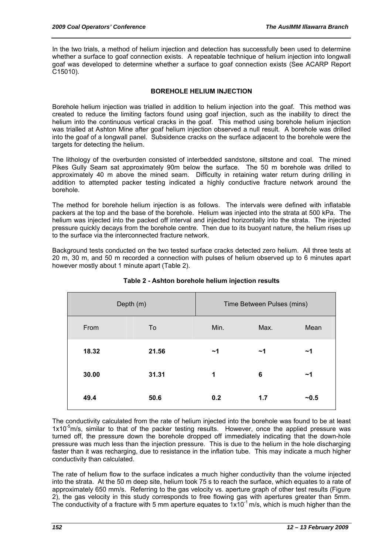In the two trials, a method of helium injection and detection has successfully been used to determine whether a surface to goaf connection exists. A repeatable technique of helium injection into longwall goaf was developed to determine whether a surface to goaf connection exists (See ACARP Report C15010).

#### **BOREHOLE HELIUM INJECTION**

Borehole helium injection was trialled in addition to helium injection into the goaf. This method was created to reduce the limiting factors found using goaf injection, such as the inability to direct the helium into the continuous vertical cracks in the goaf. This method using borehole helium injection was trialled at Ashton Mine after goaf helium injection observed a null result. A borehole was drilled into the goaf of a longwall panel. Subsidence cracks on the surface adjacent to the borehole were the targets for detecting the helium.

The lithology of the overburden consisted of interbedded sandstone, siltstone and coal. The mined Pikes Gully Seam sat approximately 90m below the surface. The 50 m borehole was drilled to approximately 40 m above the mined seam. Difficulty in retaining water return during drilling in addition to attempted packer testing indicated a highly conductive fracture network around the borehole.

The method for borehole helium injection is as follows. The intervals were defined with inflatable packers at the top and the base of the borehole. Helium was injected into the strata at 500 kPa. The helium was injected into the packed off interval and injected horizontally into the strata. The injected pressure quickly decays from the borehole centre. Then due to its buoyant nature, the helium rises up to the surface via the interconnected fracture network.

Background tests conducted on the two tested surface cracks detected zero helium. All three tests at 20 m, 30 m, and 50 m recorded a connection with pulses of helium observed up to 6 minutes apart however mostly about 1 minute apart (Table 2).

|       | Depth (m) | Time Between Pulses (mins) |      |        |  |  |
|-------|-----------|----------------------------|------|--------|--|--|
| From  | To        | Min.                       | Max. | Mean   |  |  |
| 18.32 | 21.56     | ~1                         | ~1   | ~1     |  |  |
| 30.00 | 31.31     | 1                          | 6    | ~1     |  |  |
| 49.4  | 50.6      | 0.2                        | 1.7  | $-0.5$ |  |  |

**Table 2 - Ashton borehole helium injection results** 

The conductivity calculated from the rate of helium injected into the borehole was found to be at least  $1x10^{-5}$ m/s, similar to that of the packer testing results. However, once the applied pressure was turned off, the pressure down the borehole dropped off immediately indicating that the down-hole pressure was much less than the injection pressure. This is due to the helium in the hole discharging faster than it was recharging, due to resistance in the inflation tube. This may indicate a much higher conductivity than calculated.

The rate of helium flow to the surface indicates a much higher conductivity than the volume injected into the strata. At the 50 m deep site, helium took 75 s to reach the surface, which equates to a rate of approximately 650 mm/s. Referring to the gas velocity vs. aperture graph of other test results (Figure 2), the gas velocity in this study corresponds to free flowing gas with apertures greater than 5mm. The conductivity of a fracture with 5 mm aperture equates to  $1x10^{-1}$  m/s, which is much higher than the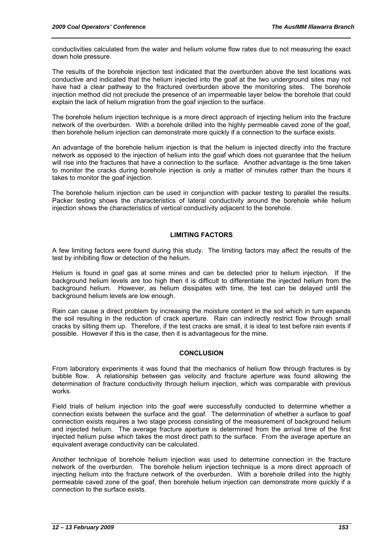conductivities calculated from the water and helium volume flow rates due to not measuring the exact down hole pressure.

The results of the borehole injection test indicated that the overburden above the test locations was conductive and indicated that the helium injected into the goaf at the two underground sites may not have had a clear pathway to the fractured overburden above the monitoring sites. The borehole injection method did not preclude the presence of an impermeable layer below the borehole that could explain the lack of helium migration from the goaf injection to the surface.

The borehole helium injection technique is a more direct approach of injecting helium into the fracture network of the overburden. With a borehole drilled into the highly permeable caved zone of the goaf, then borehole helium injection can demonstrate more quickly if a connection to the surface exists.

An advantage of the borehole helium injection is that the helium is injected directly into the fracture network as opposed to the injection of helium into the goaf which does not guarantee that the helium will rise into the fractures that have a connection to the surface. Another advantage is the time taken to monitor the cracks during borehole injection is only a matter of minutes rather than the hours it takes to monitor the goaf injection.

The borehole helium injection can be used in conjunction with packer testing to parallel the results. Packer testing shows the characteristics of lateral conductivity around the borehole while helium injection shows the characteristics of vertical conductivity adjacent to the borehole.

#### **LIMITING FACTORS**

A few limiting factors were found during this study. The limiting factors may affect the results of the test by inhibiting flow or detection of the helium.

Helium is found in goaf gas at some mines and can be detected prior to helium injection. If the background helium levels are too high then it is difficult to differentiate the injected helium from the background helium. However, as helium dissipates with time, the test can be delayed until the background helium levels are low enough.

Rain can cause a direct problem by increasing the moisture content in the soil which in turn expands the soil resulting in the reduction of crack aperture. Rain can indirectly restrict flow through small cracks by silting them up. Therefore, if the test cracks are small, it is ideal to test before rain events if possible. However if this is the case, then it is advantageous for the mine.

#### **CONCLUSION**

From laboratory experiments it was found that the mechanics of helium flow through fractures is by bubble flow. A relationship between gas velocity and fracture aperture was found allowing the determination of fracture conductivity through helium injection, which was comparable with previous works.

Field trials of helium injection into the goaf were successfully conducted to determine whether a connection exists between the surface and the goaf. The determination of whether a surface to goaf connection exists requires a two stage process consisting of the measurement of background helium and injected helium. The average fracture aperture is determined from the arrival time of the first injected helium pulse which takes the most direct path to the surface. From the average aperture an equivalent average conductivity can be calculated.

Another technique of borehole helium injection was used to determine connection in the fracture network of the overburden. The borehole helium injection technique is a more direct approach of injecting helium into the fracture network of the overburden. With a borehole drilled into the highly permeable caved zone of the goaf, then borehole helium injection can demonstrate more quickly if a connection to the surface exists.